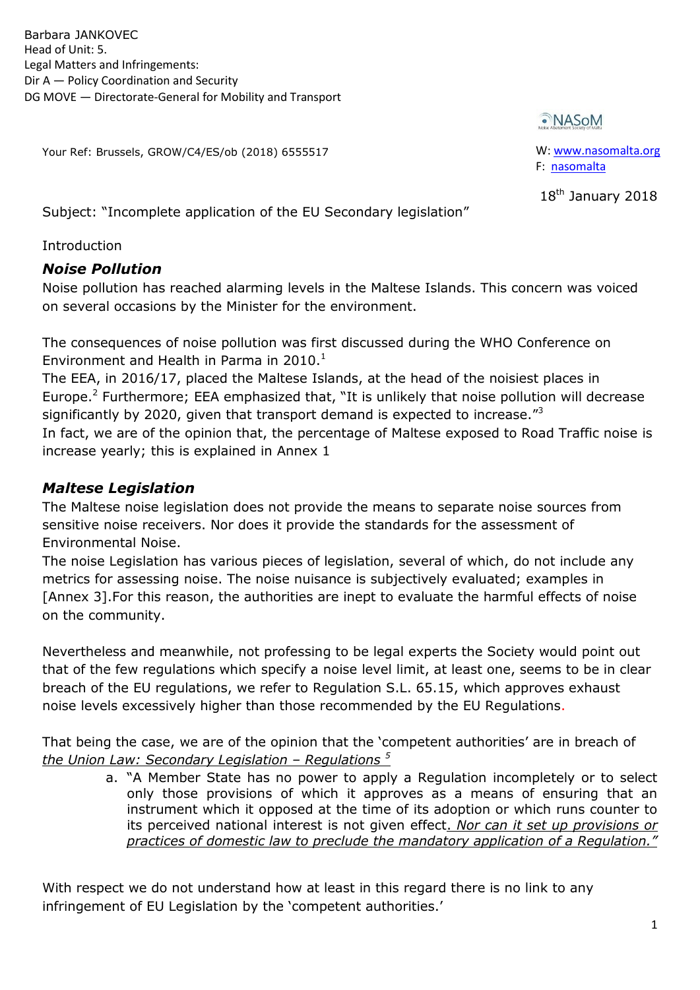Barbara JANKOVEC Head of Unit: 5. Legal Matters and Infringements: Dir A — Policy Coordination and Security DG MOVE — Directorate-General for Mobility and Transport

Your Ref: Brussels, GROW/C4/ES/ob (2018) 6555517

•NASoM

W: www.nasomalta.org F: nasomalta

18<sup>th</sup> January 2018

Subject: "Incomplete application of the EU Secondary legislation"

Introduction

## *Noise Pollution*

Noise pollution has reached alarming levels in the Maltese Islands. This concern was voiced on several occasions by the Minister for the environment.

The consequences of noise pollution was first discussed during the WHO Conference on Environment and Health in Parma in  $2010<sup>1</sup>$ 

The EEA, in 2016/17, placed the Maltese Islands, at the head of the noisiest places in Europe.<sup>2</sup> Furthermore; EEA emphasized that, "It is unlikely that noise pollution will decrease significantly by 2020, given that transport demand is expected to increase.<sup> $3$ </sup> In fact, we are of the opinion that, the percentage of Maltese exposed to Road Traffic noise is increase yearly; this is explained in Annex 1

# *Maltese Legislation*

The Maltese noise legislation does not provide the means to separate noise sources from sensitive noise receivers. Nor does it provide the standards for the assessment of Environmental Noise.

The noise Legislation has various pieces of legislation, several of which, do not include any metrics for assessing noise. The noise nuisance is subjectively evaluated; examples in [Annex 3].For this reason, the authorities are inept to evaluate the harmful effects of noise on the community.

Nevertheless and meanwhile, not professing to be legal experts the Society would point out that of the few regulations which specify a noise level limit, at least one, seems to be in clear breach of the EU regulations, we refer to Regulation S.L. 65.15, which approves exhaust noise levels excessively higher than those recommended by the EU Regulations.

That being the case, we are of the opinion that the 'competent authorities' are in breach of *the Union Law: Secondary Legislation – Regulations <sup>5</sup>*

> a. "A Member State has no power to apply a Regulation incompletely or to select only those provisions of which it approves as a means of ensuring that an instrument which it opposed at the time of its adoption or which runs counter to its perceived national interest is not given effect. *Nor can it set up provisions or practices of domestic law to preclude the mandatory application of a Regulation."*

With respect we do not understand how at least in this regard there is no link to any infringement of EU Legislation by the 'competent authorities.'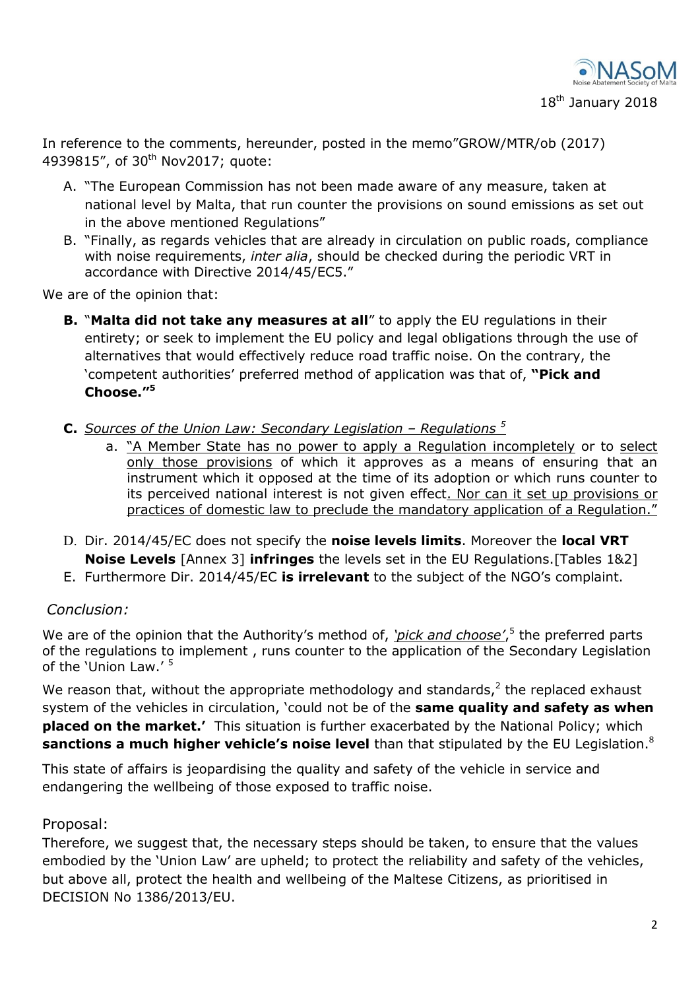

18<sup>th</sup> January 2018

In reference to the comments, hereunder, posted in the memo"GROW/MTR/ob (2017) 4939815", of 30<sup>th</sup> Nov2017; quote:

- A. "The European Commission has not been made aware of any measure, taken at national level by Malta, that run counter the provisions on sound emissions as set out in the above mentioned Regulations"
- B. "Finally, as regards vehicles that are already in circulation on public roads, compliance with noise requirements, *inter alia*, should be checked during the periodic VRT in accordance with Directive 2014/45/EC5."

We are of the opinion that:

- **B.** "Malta did not take any measures at all" to apply the EU regulations in their entirety; or seek to implement the EU policy and legal obligations through the use of alternatives that would effectively reduce road traffic noise. On the contrary, the ‗competent authorities' preferred method of application was that of, **"Pick and Choose."<sup>5</sup>**
- **C.** *Sources of the Union Law: Secondary Legislation Regulations*<sup>5</sup>
	- a. "A Member State has no power to apply a Regulation incompletely or to select only those provisions of which it approves as a means of ensuring that an instrument which it opposed at the time of its adoption or which runs counter to its perceived national interest is not given effect. Nor can it set up provisions or practices of domestic law to preclude the mandatory application of a Regulation."
- D. Dir. 2014/45/EC does not specify the **noise levels limits**. Moreover the **local VRT Noise Levels** [Annex 3] **infringes** the levels set in the EU Regulations.[Tables 1&2]
- E. Furthermore Dir. 2014/45/EC **is irrelevant** to the subject of the NGO's complaint.

### *Conclusion:*

We are of the opinion that the Authority's method of, *'pick and choose'*,<sup>5</sup> the preferred parts of the regulations to implement , runs counter to the application of the Secondary Legislation of the 'Union Law.' <sup>5</sup>

We reason that, without the appropriate methodology and standards, $2$  the replaced exhaust system of the vehicles in circulation, 'could not be of the **same quality and safety as when placed on the market.'** This situation is further exacerbated by the National Policy; which **sanctions a much higher vehicle's noise level** than that stipulated by the EU Legislation. 8

This state of affairs is jeopardising the quality and safety of the vehicle in service and endangering the wellbeing of those exposed to traffic noise.

#### Proposal:

Therefore, we suggest that, the necessary steps should be taken, to ensure that the values embodied by the 'Union Law' are upheld; to protect the reliability and safety of the vehicles, but above all, protect the health and wellbeing of the Maltese Citizens, as prioritised in DECISION No 1386/2013/EU.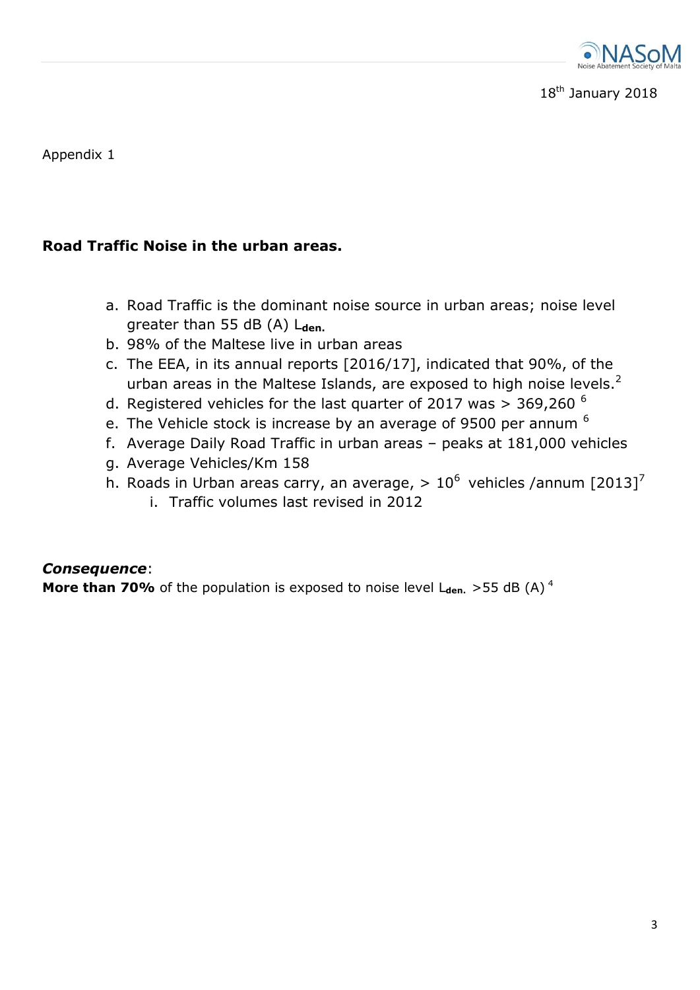

18<sup>th</sup> January 2018

Appendix 1

## **Road Traffic Noise in the urban areas.**

- a. Road Traffic is the dominant noise source in urban areas; noise level greater than 55 dB (A) Lden.
- b. 98% of the Maltese live in urban areas
- c. The EEA, in its annual reports [2016/17], indicated that 90%, of the urban areas in the Maltese Islands, are exposed to high noise levels.<sup>2</sup>
- d. Registered vehicles for the last quarter of 2017 was  $>$  369,260  $<sup>6</sup>$ </sup>
- e. The Vehicle stock is increase by an average of 9500 per annum  $<sup>6</sup>$ </sup>
- f. Average Daily Road Traffic in urban areas peaks at 181,000 vehicles
- g. Average Vehicles/Km 158
- h. Roads in Urban areas carry, an average,  $> 10^6$  vehicles /annum [2013]<sup>7</sup>
	- i. Traffic volumes last revised in 2012

### *Consequence*:

**More than 70%** of the population is exposed to noise level  $L_{den.}$  > 55 dB (A)<sup>4</sup>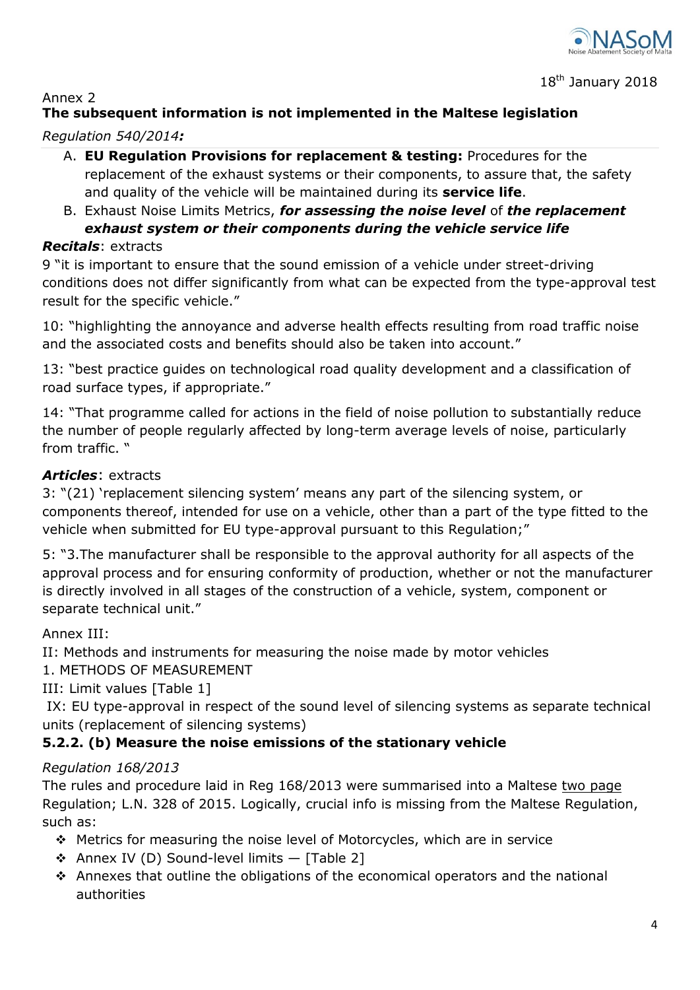

### Annex 2

# **The subsequent information is not implemented in the Maltese legislation**

### *Regulation 540/2014:*

- A. **EU Regulation Provisions for replacement & testing:** Procedures for the replacement of the exhaust systems or their components, to assure that, the safety and quality of the vehicle will be maintained during its **service life**.
- B. Exhaust Noise Limits Metrics, *for assessing the noise level* of *the replacement exhaust system or their components during the vehicle service life*

## *Recitals*: extracts

9 "it is important to ensure that the sound emission of a vehicle under street-driving conditions does not differ significantly from what can be expected from the type-approval test result for the specific vehicle."

10: "highlighting the annoyance and adverse health effects resulting from road traffic noise and the associated costs and benefits should also be taken into account."

13: "best practice guides on technological road quality development and a classification of road surface types, if appropriate."

14: "That programme called for actions in the field of noise pollution to substantially reduce the number of people regularly affected by long-term average levels of noise, particularly from traffic. "

## *Articles*: extracts

3: "(21) 'replacement silencing system' means any part of the silencing system, or components thereof, intended for use on a vehicle, other than a part of the type fitted to the vehicle when submitted for EU type-approval pursuant to this Regulation;"

5: "3. The manufacturer shall be responsible to the approval authority for all aspects of the approval process and for ensuring conformity of production, whether or not the manufacturer is directly involved in all stages of the construction of a vehicle, system, component or separate technical unit."

## Annex III:

II: Methods and instruments for measuring the noise made by motor vehicles

### 1. METHODS OF MEASUREMENT

III: Limit values [Table 1]

IX: EU type-approval in respect of the sound level of silencing systems as separate technical units (replacement of silencing systems)

## **5.2.2. (b) Measure the noise emissions of the stationary vehicle**

### *Regulation 168/2013*

The rules and procedure laid in Reg 168/2013 were summarised into a Maltese two page Regulation; L.N. 328 of 2015. Logically, crucial info is missing from the Maltese Regulation, such as:

- Metrics for measuring the noise level of Motorcycles, which are in service
- $\triangleleft$  Annex IV (D) Sound-level limits  $-$  [Table 2]
- Annexes that outline the obligations of the economical operators and the national authorities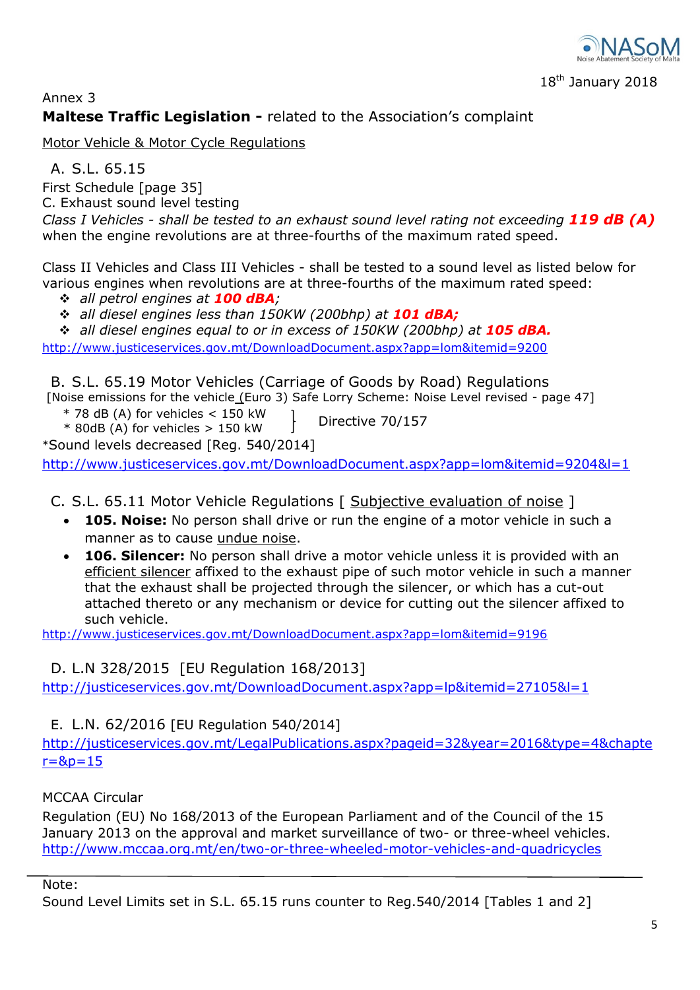

## Annex 3 **Maltese Traffic Legislation -** related to the Association's complaint

Motor Vehicle & Motor Cycle Regulations

A. S.L. 65.15

First Schedule [page 35]

C. Exhaust sound level testing

*Class I Vehicles - shall be tested to an exhaust sound level rating not exceeding 119 dB (A)* when the engine revolutions are at three-fourths of the maximum rated speed.

Class II Vehicles and Class III Vehicles - shall be tested to a sound level as listed below for various engines when revolutions are at three-fourths of the maximum rated speed:

- *all petrol engines at 100 dBA;*
- *all diesel engines less than 150KW (200bhp) at 101 dBA;*
- **\*** all diesel engines equal to or in excess of 150KW (200bhp) at **105 dBA.**

http://www.justiceservices.gov.mt/DownloadDocument.aspx?app=lom&itemid=9200

B. S.L. 65.19 Motor Vehicles (Carriage of Goods by Road) Regulations

[Noise emissions for the vehicle (Euro 3) Safe Lorry Scheme: Noise Level revised - page 47]  $*$  78 dB (A) for vehicles  $<$  150 kW

 $*$  80dB (A) for vehicles  $>$  150 kW Directive 70/157

\*Sound levels decreased [Reg. 540/2014]

http://www.justiceservices.gov.mt/DownloadDocument.aspx?app=lom&itemid=9204&l=1

C. S.L. 65.11 Motor Vehicle Regulations [ Subjective evaluation of noise ]

- **105. Noise:** No person shall drive or run the engine of a motor vehicle in such a manner as to cause undue noise.
- **106. Silencer:** No person shall drive a motor vehicle unless it is provided with an efficient silencer affixed to the exhaust pipe of such motor vehicle in such a manner that the exhaust shall be projected through the silencer, or which has a cut-out attached thereto or any mechanism or device for cutting out the silencer affixed to such vehicle.

http://www.justiceservices.gov.mt/DownloadDocument.aspx?app=lom&itemid=9196

# D. L.N 328/2015 [EU Regulation 168/2013]

http://justiceservices.gov.mt/DownloadDocument.aspx?app=lp&itemid=27105&l=1

## E. L.N. 62/2016 [EU Regulation 540/2014]

http://justiceservices.gov.mt/LegalPublications.aspx?pageid=32&year=2016&type=4&chapte  $r = 8p = 15$ 

## MCCAA Circular

Regulation (EU) No 168/2013 of the European Parliament and of the Council of the 15 January 2013 on the approval and market surveillance of two- or three-wheel vehicles. http://www.mccaa.org.mt/en/two-or-three-wheeled-motor-vehicles-and-quadricycles

Note:

Sound Level Limits set in S.L. 65.15 runs counter to Reg.540/2014 [Tables 1 and 2]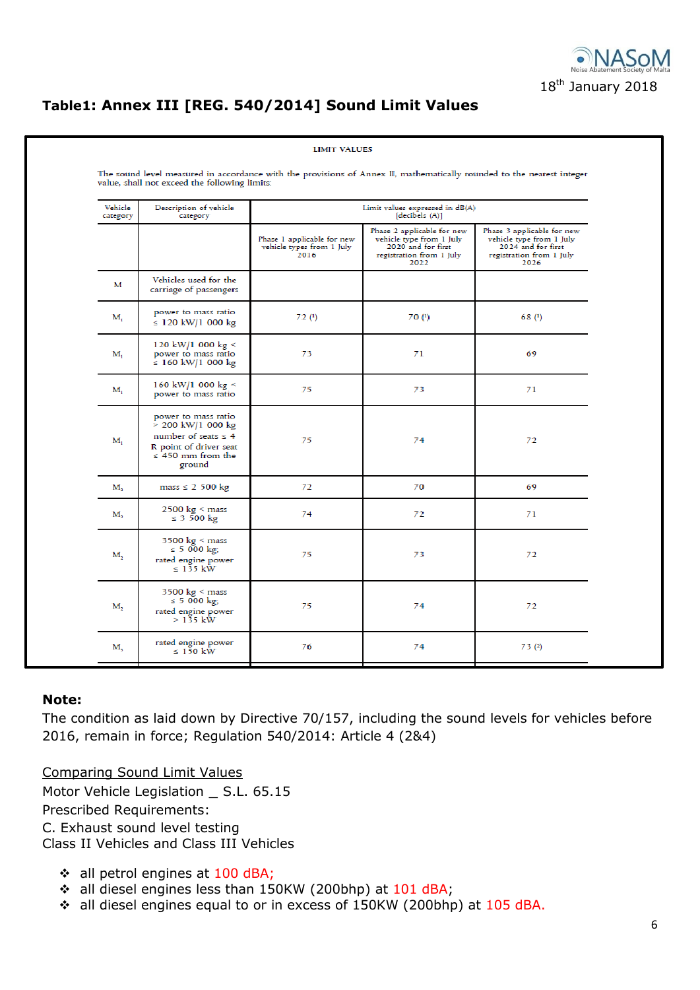

# **Table1: Annex III [REG. 540/2014] Sound Limit Values**

| Vehicle<br>category | Description of vehicle<br>category                                                                                                   | Limit values expressed in dB(A)<br>[decibels (A)]               |                                                                                                                  |                                                                                                                  |  |  |
|---------------------|--------------------------------------------------------------------------------------------------------------------------------------|-----------------------------------------------------------------|------------------------------------------------------------------------------------------------------------------|------------------------------------------------------------------------------------------------------------------|--|--|
|                     |                                                                                                                                      | Phase 1 applicable for new<br>vehicle types from 1 July<br>2016 | Phase 2 applicable for new<br>vehicle type from 1 July<br>2020 and for first<br>registration from 1 July<br>2022 | Phase 3 applicable for new<br>vehicle type from 1 July<br>2024 and for first<br>registration from 1 July<br>2026 |  |  |
| м                   | Vehicles used for the<br>carriage of passengers                                                                                      |                                                                 |                                                                                                                  |                                                                                                                  |  |  |
| $M_{1}$             | power to mass ratio<br>≤ 120 kW/1 000 kg                                                                                             | 72 <sup>(1)</sup>                                               | 70 <sup>(1)</sup>                                                                                                | 68 (1)                                                                                                           |  |  |
| $M_{1}$             | 120 kW/1 000 kg <<br>power to mass ratio<br>≤ 160 kW/1 000 kg                                                                        | 73                                                              | 71                                                                                                               | 69                                                                                                               |  |  |
| $M_1$               | 160 kW/1 000 kg <<br>power to mass ratio                                                                                             | 75                                                              | 73                                                                                                               | 71                                                                                                               |  |  |
| $M_{1}$             | power to mass ratio<br>$> 200$ kW/1 000 kg<br>number of seats $\leq 4$<br>R point of driver seat<br>$\leq$ 450 mm from the<br>ground | 75                                                              | 74                                                                                                               | 72                                                                                                               |  |  |
| M <sub>2</sub>      | $mass \leq 2$ 500 kg                                                                                                                 | 72                                                              | 70                                                                                                               | 69                                                                                                               |  |  |
| М,                  | $2500 \text{ kg} < \text{mass}$<br>$\leq$ 3 500 kg                                                                                   | 74                                                              | 72                                                                                                               | 71                                                                                                               |  |  |
| М,                  | $3500 \text{ kg} < \text{mass}$<br>≤ 5 000 kg;<br>rated engine power<br>$\leq$ 135 kW                                                | 75                                                              | 73                                                                                                               | 72                                                                                                               |  |  |
| М,                  | $3500 \text{ kg} \le \text{mass}$<br>≤ 5 000 kg;<br>rated engine power<br>$> 135$ kW                                                 | 75                                                              | 74                                                                                                               | 72                                                                                                               |  |  |
| M,                  | rated engine power<br>$\leq 150$ kW                                                                                                  | 76                                                              | 74                                                                                                               | 73 (2)                                                                                                           |  |  |

#### **Note:**

The condition as laid down by Directive 70/157, including the sound levels for vehicles before 2016, remain in force; Regulation 540/2014: Article 4 (2&4)

Comparing Sound Limit Values Motor Vehicle Legislation \_ S.L. 65.15 Prescribed Requirements: C. Exhaust sound level testing Class II Vehicles and Class III Vehicles

- all petrol engines at 100 dBA;
- all diesel engines less than 150KW (200bhp) at 101 dBA;
- \* all diesel engines equal to or in excess of 150KW (200bhp) at 105 dBA.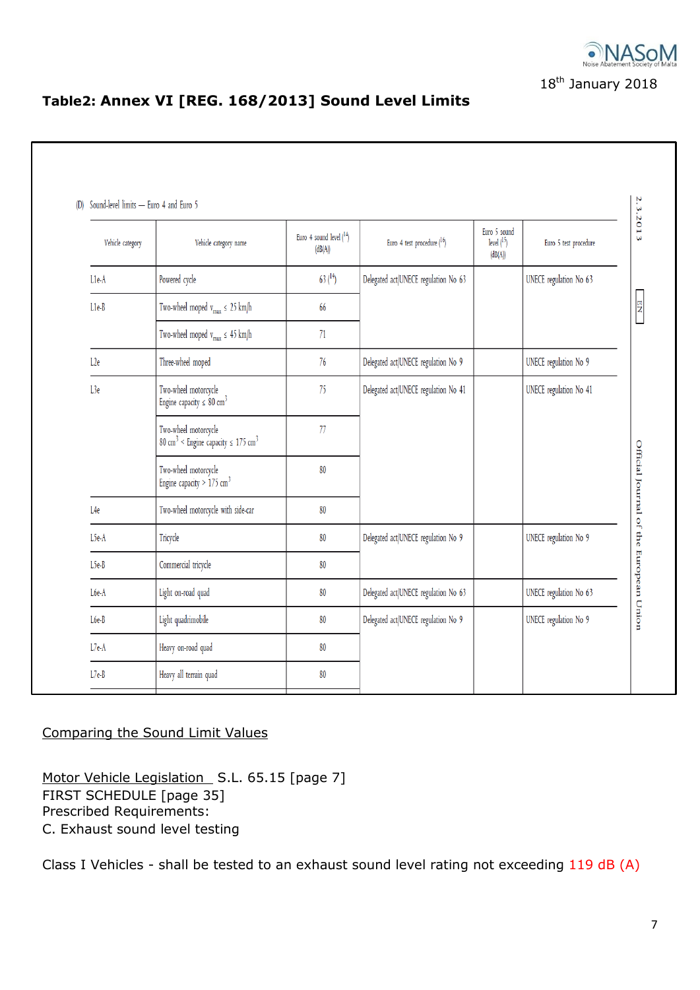

# **Table2: Annex VI [REG. 168/2013] Sound Level Limits**

| Vehicle category | Vehicle category name                                                                   | Euro 4 sound level $(^{14})$<br>(dB(A)) | Euro 4 test procedure $(^{16})$      | Euro 5 sound<br>level $(^{15})$<br>(dB(A)) | Euro 5 test procedure  |
|------------------|-----------------------------------------------------------------------------------------|-----------------------------------------|--------------------------------------|--------------------------------------------|------------------------|
| L1e-A            | Powered cycle                                                                           | 63 <sup>14</sup>                        | Delegated act/UNECE regulation No 63 |                                            | UNECE regulation No 63 |
| L1e-B            | Two-wheel moped $v_{max} \leq 25$ km/h                                                  | 66                                      |                                      |                                            |                        |
|                  | Two-wheel moped $\rm v_{max}\leq\,45~km/h$                                              | 71                                      |                                      |                                            |                        |
| L <sub>2e</sub>  | Three-wheel moped                                                                       | 76                                      | Delegated act/UNECE regulation No 9  |                                            | UNECE regulation No 9  |
| L3e              | Two-wheel motorcycle<br>Engine capacity $\leq 80$ cm <sup>3</sup>                       | 75                                      | Delegated act/UNECE regulation No 41 |                                            | UNECE regulation No 41 |
|                  | Two-wheel motorcycle<br>80 cm <sup>3</sup> < Engine capacity $\leq$ 175 cm <sup>3</sup> | 77                                      |                                      |                                            |                        |
|                  | Two-wheel motorcycle<br>Engine capacity > $175 \text{ cm}^3$                            | 80                                      |                                      |                                            |                        |
| L4e              | Two-wheel motorcycle with side-car                                                      | 80                                      |                                      |                                            |                        |
| L5e-A            | Tricycle                                                                                | 80                                      | Delegated act/UNECE regulation No 9  |                                            | UNECE regulation No 9  |
| L5e-B            | Commercial tricycle                                                                     | 80                                      |                                      |                                            |                        |
| L6e-A            | Light on-road quad                                                                      | 80                                      | Delegated act/UNECE regulation No 63 |                                            | UNECE regulation No 63 |
| L6e-B            | Light quadrimobile                                                                      | 80                                      | Delegated act/UNECE regulation No 9  |                                            | UNECE regulation No 9  |
| $L7e-A$          | Heavy on-road quad                                                                      | 80                                      |                                      |                                            |                        |
| $L7e-B$          | Heavy all terrain quad                                                                  | 80                                      |                                      |                                            |                        |

## Comparing the Sound Limit Values

Motor Vehicle Legislation S.L. 65.15 [page 7] FIRST SCHEDULE [page 35] Prescribed Requirements: C. Exhaust sound level testing

Class I Vehicles - shall be tested to an exhaust sound level rating not exceeding 119 dB (A)